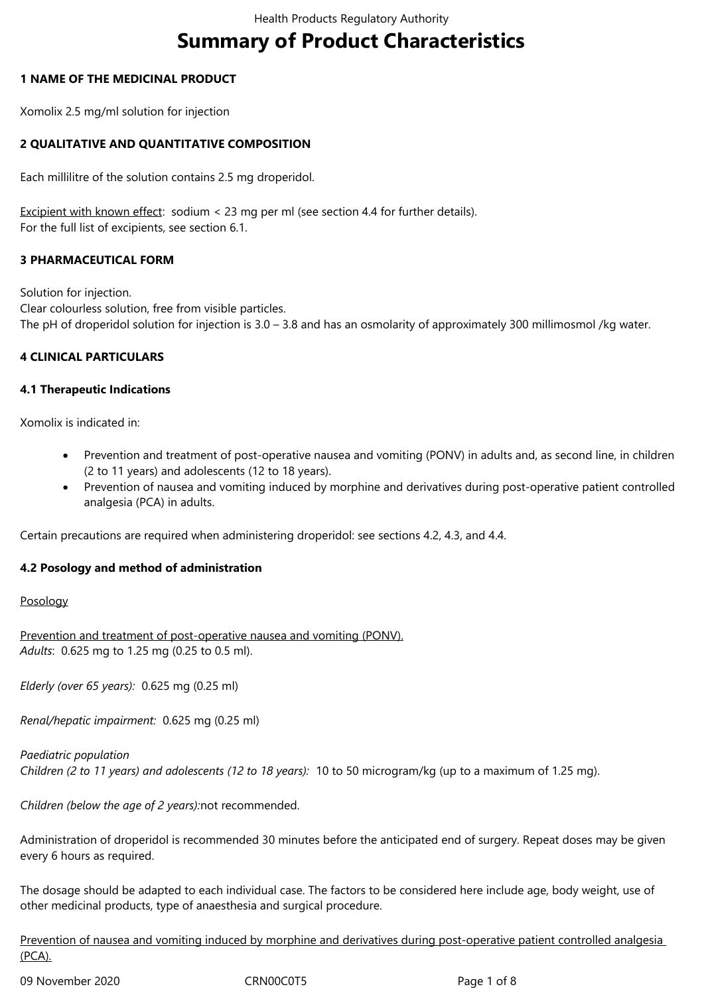# **Summary of Product Characteristics**

### **1 NAME OF THE MEDICINAL PRODUCT**

Xomolix 2.5 mg/ml solution for injection

## **2 QUALITATIVE AND QUANTITATIVE COMPOSITION**

Each millilitre of the solution contains 2.5 mg droperidol.

Excipient with known effect: sodium < 23 mg per ml (see section 4.4 for further details). For the full list of excipients, see section 6.1.

## **3 PHARMACEUTICAL FORM**

Solution for injection. Clear colourless solution, free from visible particles. The pH of droperidol solution for injection is 3.0 – 3.8 and has an osmolarity of approximately 300 millimosmol /kg water.

#### **4 CLINICAL PARTICULARS**

#### **4.1 Therapeutic Indications**

Xomolix is indicated in:

- Prevention and treatment of post-operative nausea and vomiting (PONV) in adults and, as second line, in children (2 to 11 years) and adolescents (12 to 18 years).
- Prevention of nausea and vomiting induced by morphine and derivatives during post-operative patient controlled analgesia (PCA) in adults.

Certain precautions are required when administering droperidol: see sections 4.2, 4.3, and 4.4.

#### **4.2 Posology and method of administration**

#### Posology

Prevention and treatment of post-operative nausea and vomiting (PONV). *Adults*: 0.625 mg to 1.25 mg (0.25 to 0.5 ml).

*Elderly (over 65 years):* 0.625 mg (0.25 ml)

*Renal/hepatic impairment:* 0.625 mg (0.25 ml)

*Paediatric population Children (2 to 11 years) and adolescents (12 to 18 years):* 10 to 50 microgram/kg (up to a maximum of 1.25 mg).

*Children (below the age of 2 years):*not recommended.

Administration of droperidol is recommended 30 minutes before the anticipated end of surgery. Repeat doses may be given every 6 hours as required.

The dosage should be adapted to each individual case. The factors to be considered here include age, body weight, use of other medicinal products, type of anaesthesia and surgical procedure.

Prevention of nausea and vomiting induced by morphine and derivatives during post-operative patient controlled analgesia (PCA).

09 November 2020 CRN00C0T5 Page 1 of 8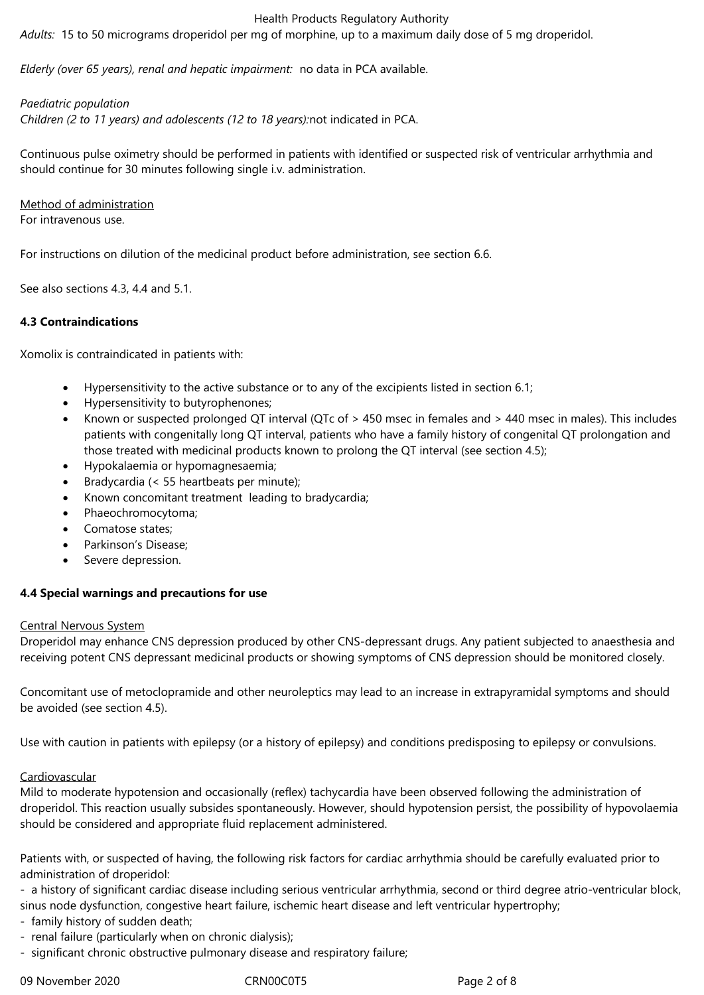*Adults:* 15 to 50 micrograms droperidol per mg of morphine, up to a maximum daily dose of 5 mg droperidol.

*Elderly (over 65 years), renal and hepatic impairment:* no data in PCA available.

*Paediatric population*

*Children (2 to 11 years) and adolescents (12 to 18 years):*not indicated in PCA.

Continuous pulse oximetry should be performed in patients with identified or suspected risk of ventricular arrhythmia and should continue for 30 minutes following single i.v. administration.

Method of administration For intravenous use.

For instructions on dilution of the medicinal product before administration, see section 6.6.

See also sections 4.3, 4.4 and 5.1.

# **4.3 Contraindications**

Xomolix is contraindicated in patients with:

- Hypersensitivity to the active substance or to any of the excipients listed in section 6.1;
- Hypersensitivity to butyrophenones;
- Known or suspected prolonged QT interval (QTc of > 450 msec in females and > 440 msec in males). This includes patients with congenitally long QT interval, patients who have a family history of congenital QT prolongation and those treated with medicinal products known to prolong the QT interval (see section 4.5);
- Hypokalaemia or hypomagnesaemia;
- Bradycardia (< 55 heartbeats per minute);
- Known concomitant treatment leading to bradycardia;
- Phaeochromocytoma;
- Comatose states;
- Parkinson's Disease;
- Severe depression.

# **4.4 Special warnings and precautions for use**

#### Central Nervous System

Droperidol may enhance CNS depression produced by other CNS-depressant drugs. Any patient subjected to anaesthesia and receiving potent CNS depressant medicinal products or showing symptoms of CNS depression should be monitored closely.

Concomitant use of metoclopramide and other neuroleptics may lead to an increase in extrapyramidal symptoms and should be avoided (see section 4.5).

Use with caution in patients with epilepsy (or a history of epilepsy) and conditions predisposing to epilepsy or convulsions.

#### Cardiovascular

Mild to moderate hypotension and occasionally (reflex) tachycardia have been observed following the administration of droperidol. This reaction usually subsides spontaneously. However, should hypotension persist, the possibility of hypovolaemia should be considered and appropriate fluid replacement administered.

Patients with, or suspected of having, the following risk factors for cardiac arrhythmia should be carefully evaluated prior to administration of droperidol:

- a history of significant cardiac disease including serious ventricular arrhythmia, second or third degree atrio-ventricular block, sinus node dysfunction, congestive heart failure, ischemic heart disease and left ventricular hypertrophy;

- family history of sudden death;
- renal failure (particularly when on chronic dialysis);
- significant chronic obstructive pulmonary disease and respiratory failure;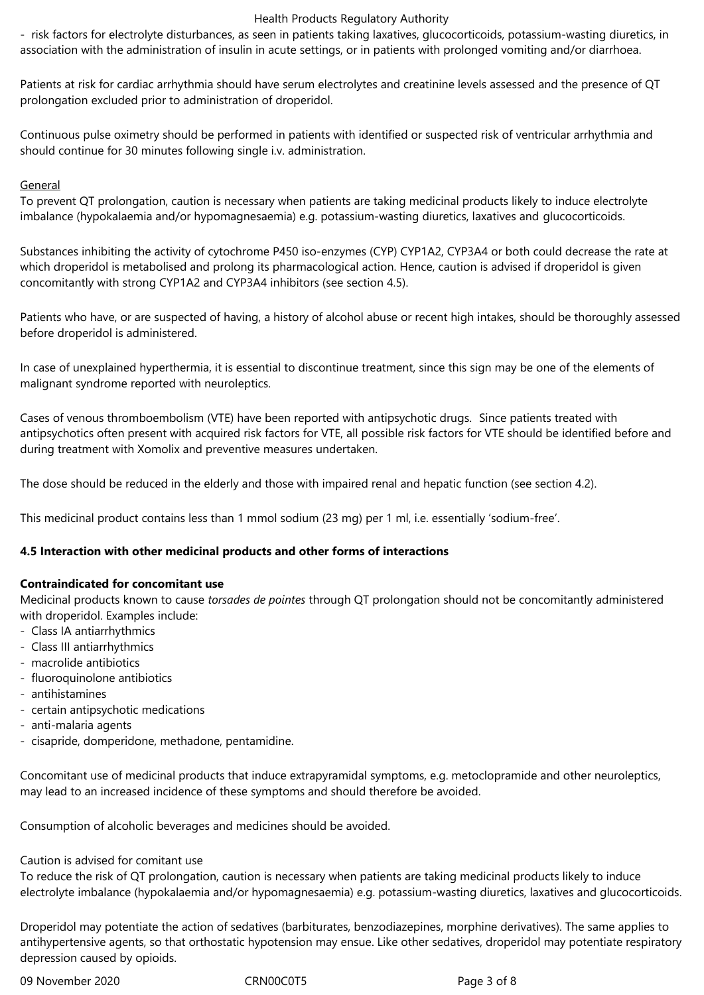- risk factors for electrolyte disturbances, as seen in patients taking laxatives, glucocorticoids, potassium-wasting diuretics, in association with the administration of insulin in acute settings, or in patients with prolonged vomiting and/or diarrhoea.

Patients at risk for cardiac arrhythmia should have serum electrolytes and creatinine levels assessed and the presence of QT prolongation excluded prior to administration of droperidol.

Continuous pulse oximetry should be performed in patients with identified or suspected risk of ventricular arrhythmia and should continue for 30 minutes following single i.v. administration.

#### General

To prevent QT prolongation, caution is necessary when patients are taking medicinal products likely to induce electrolyte imbalance (hypokalaemia and/or hypomagnesaemia) e.g. potassium-wasting diuretics, laxatives and glucocorticoids.

Substances inhibiting the activity of cytochrome P450 iso-enzymes (CYP) CYP1A2, CYP3A4 or both could decrease the rate at which droperidol is metabolised and prolong its pharmacological action. Hence, caution is advised if droperidol is given concomitantly with strong CYP1A2 and CYP3A4 inhibitors (see section 4.5).

Patients who have, or are suspected of having, a history of alcohol abuse or recent high intakes, should be thoroughly assessed before droperidol is administered.

In case of unexplained hyperthermia, it is essential to discontinue treatment, since this sign may be one of the elements of malignant syndrome reported with neuroleptics.

Cases of venous thromboembolism (VTE) have been reported with antipsychotic drugs. Since patients treated with antipsychotics often present with acquired risk factors for VTE, all possible risk factors for VTE should be identified before and during treatment with Xomolix and preventive measures undertaken.

The dose should be reduced in the elderly and those with impaired renal and hepatic function (see section 4.2).

This medicinal product contains less than 1 mmol sodium (23 mg) per 1 ml, i.e. essentially 'sodium-free'.

#### **4.5 Interaction with other medicinal products and other forms of interactions**

#### **Contraindicated for concomitant use**

Medicinal products known to cause *torsades de pointes* through QT prolongation should not be concomitantly administered with droperidol. Examples include:

- Class IA antiarrhythmics
- Class III antiarrhythmics
- macrolide antibiotics
- fluoroquinolone antibiotics
- antihistamines
- certain antipsychotic medications
- anti-malaria agents
- cisapride, domperidone, methadone, pentamidine.

Concomitant use of medicinal products that induce extrapyramidal symptoms, e.g. metoclopramide and other neuroleptics, may lead to an increased incidence of these symptoms and should therefore be avoided.

Consumption of alcoholic beverages and medicines should be avoided.

#### Caution is advised for comitant use

To reduce the risk of QT prolongation, caution is necessary when patients are taking medicinal products likely to induce electrolyte imbalance (hypokalaemia and/or hypomagnesaemia) e.g. potassium-wasting diuretics, laxatives and glucocorticoids.

Droperidol may potentiate the action of sedatives (barbiturates, benzodiazepines, morphine derivatives). The same applies to antihypertensive agents, so that orthostatic hypotension may ensue. Like other sedatives, droperidol may potentiate respiratory depression caused by opioids.

09 November 2020 CRN00C0T5 Page 3 of 8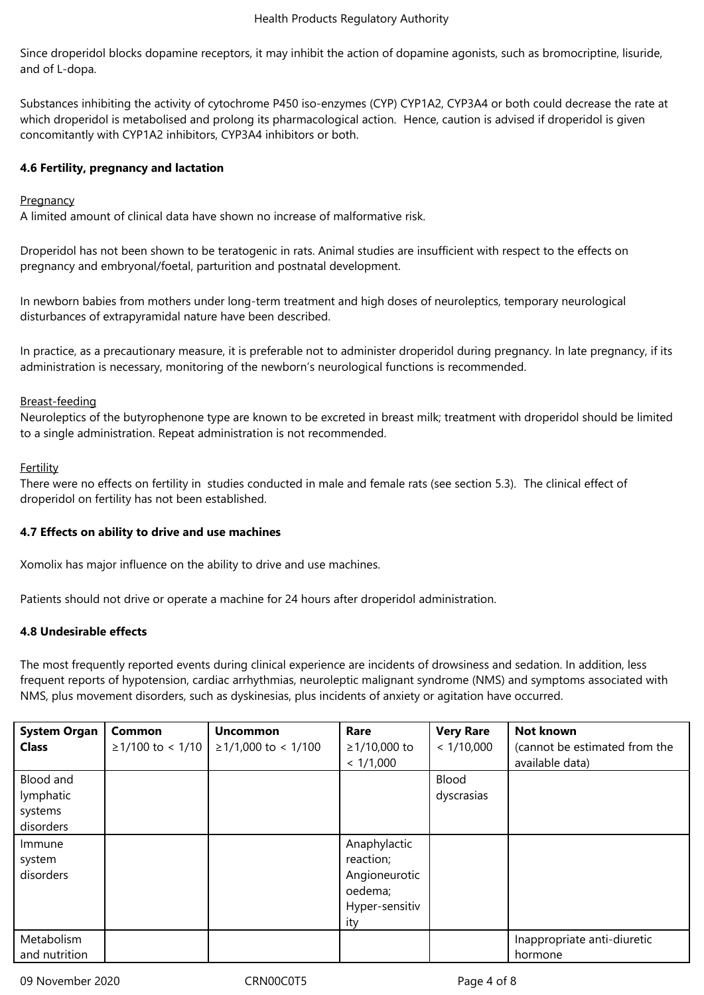Since droperidol blocks dopamine receptors, it may inhibit the action of dopamine agonists, such as bromocriptine, lisuride, and of L-dopa.

Substances inhibiting the activity of cytochrome P450 iso-enzymes (CYP) CYP1A2, CYP3A4 or both could decrease the rate at which droperidol is metabolised and prolong its pharmacological action. Hence, caution is advised if droperidol is given concomitantly with CYP1A2 inhibitors, CYP3A4 inhibitors or both.

# **4.6 Fertility, pregnancy and lactation**

#### **Pregnancy**

A limited amount of clinical data have shown no increase of malformative risk.

Droperidol has not been shown to be teratogenic in rats. Animal studies are insufficient with respect to the effects on pregnancy and embryonal/foetal, parturition and postnatal development.

In newborn babies from mothers under long-term treatment and high doses of neuroleptics, temporary neurological disturbances of extrapyramidal nature have been described.

In practice, as a precautionary measure, it is preferable not to administer droperidol during pregnancy. In late pregnancy, if its administration is necessary, monitoring of the newborn's neurological functions is recommended.

#### Breast-feeding

Neuroleptics of the butyrophenone type are known to be excreted in breast milk; treatment with droperidol should be limited to a single administration. Repeat administration is not recommended.

#### **Fertility**

There were no effects on fertility in studies conducted in male and female rats (see section 5.3). The clinical effect of droperidol on fertility has not been established.

#### **4.7 Effects on ability to drive and use machines**

Xomolix has major influence on the ability to drive and use machines.

Patients should not drive or operate a machine for 24 hours after droperidol administration.

#### **4.8 Undesirable effects**

The most frequently reported events during clinical experience are incidents of drowsiness and sedation. In addition, less frequent reports of hypotension, cardiac arrhythmias, neuroleptic malignant syndrome (NMS) and symptoms associated with NMS, plus movement disorders, such as dyskinesias, plus incidents of anxiety or agitation have occurred.

| <b>System Organ</b><br><b>Class</b>            | Common<br>$≥1/100$ to < 1/10 | <b>Uncommon</b><br>$≥1/1,000$ to < 1/100 | Rare<br>≥1/10,000 to<br>< 1/1,000                                              | <b>Very Rare</b><br>< 1/10,000 | Not known<br>(cannot be estimated from the<br>available data) |
|------------------------------------------------|------------------------------|------------------------------------------|--------------------------------------------------------------------------------|--------------------------------|---------------------------------------------------------------|
| Blood and<br>lymphatic<br>systems<br>disorders |                              |                                          |                                                                                | Blood<br>dyscrasias            |                                                               |
| Immune<br>system<br>disorders                  |                              |                                          | Anaphylactic<br>reaction;<br>Angioneurotic<br>oedema;<br>Hyper-sensitiv<br>ity |                                |                                                               |
| Metabolism<br>and nutrition                    |                              |                                          |                                                                                |                                | Inappropriate anti-diuretic<br>hormone                        |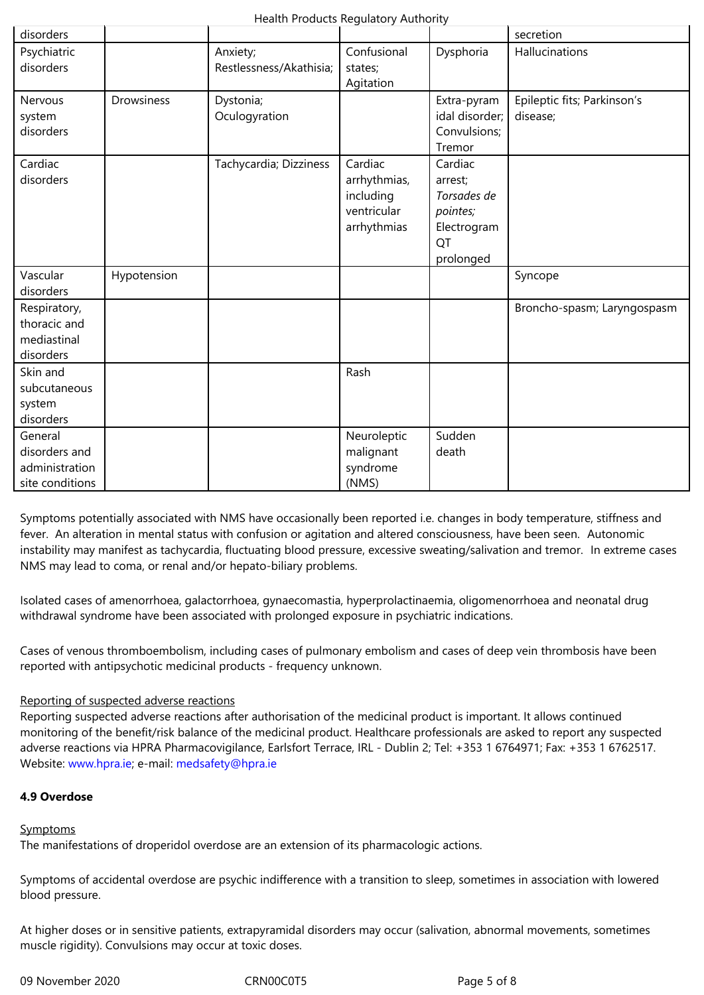| disorders                                                     |                   |                                     |                                                                    |                                                                                 | secretion                               |
|---------------------------------------------------------------|-------------------|-------------------------------------|--------------------------------------------------------------------|---------------------------------------------------------------------------------|-----------------------------------------|
| Psychiatric<br>disorders                                      |                   | Anxiety;<br>Restlessness/Akathisia; | Confusional<br>states;<br>Agitation                                | Dysphoria                                                                       | Hallucinations                          |
| Nervous<br>system<br>disorders                                | <b>Drowsiness</b> | Dystonia;<br>Oculogyration          |                                                                    | Extra-pyram<br>idal disorder;<br>Convulsions;<br>Tremor                         | Epileptic fits; Parkinson's<br>disease; |
| Cardiac<br>disorders                                          |                   | Tachycardia; Dizziness              | Cardiac<br>arrhythmias,<br>including<br>ventricular<br>arrhythmias | Cardiac<br>arrest;<br>Torsades de<br>pointes;<br>Electrogram<br>QT<br>prolonged |                                         |
| Vascular<br>disorders                                         | Hypotension       |                                     |                                                                    |                                                                                 | Syncope                                 |
| Respiratory,<br>thoracic and<br>mediastinal<br>disorders      |                   |                                     |                                                                    |                                                                                 | Broncho-spasm; Laryngospasm             |
| Skin and<br>subcutaneous<br>system<br>disorders               |                   |                                     | Rash                                                               |                                                                                 |                                         |
| General<br>disorders and<br>administration<br>site conditions |                   |                                     | Neuroleptic<br>malignant<br>syndrome<br>(NMS)                      | Sudden<br>death                                                                 |                                         |

Symptoms potentially associated with NMS have occasionally been reported i.e. changes in body temperature, stiffness and fever. An alteration in mental status with confusion or agitation and altered consciousness, have been seen. Autonomic instability may manifest as tachycardia, fluctuating blood pressure, excessive sweating/salivation and tremor. In extreme cases NMS may lead to coma, or renal and/or hepato-biliary problems.

Isolated cases of amenorrhoea, galactorrhoea, gynaecomastia, hyperprolactinaemia, oligomenorrhoea and neonatal drug withdrawal syndrome have been associated with prolonged exposure in psychiatric indications.

Cases of venous thromboembolism, including cases of pulmonary embolism and cases of deep vein thrombosis have been reported with antipsychotic medicinal products - frequency unknown.

# Reporting of suspected adverse reactions

Reporting suspected adverse reactions after authorisation of the medicinal product is important. It allows continued monitoring of the benefit/risk balance of the medicinal product. Healthcare professionals are asked to report any suspected adverse reactions via HPRA Pharmacovigilance, Earlsfort Terrace, IRL - Dublin 2; Tel: +353 1 6764971; Fax: +353 1 6762517. Website: www.hpra.ie; e-mail: medsafety@hpra.ie

# **4.9 Overdose**

#### **Symptoms**

The manifestations of droperidol overdose are an extension of its pharmacologic actions.

Symptoms of accidental overdose are psychic indifference with a transition to sleep, sometimes in association with lowered blood pressure.

At higher doses or in sensitive patients, extrapyramidal disorders may occur (salivation, abnormal movements, sometimes muscle rigidity). Convulsions may occur at toxic doses.

09 November 2020 CRN00C0T5 Page 5 of 8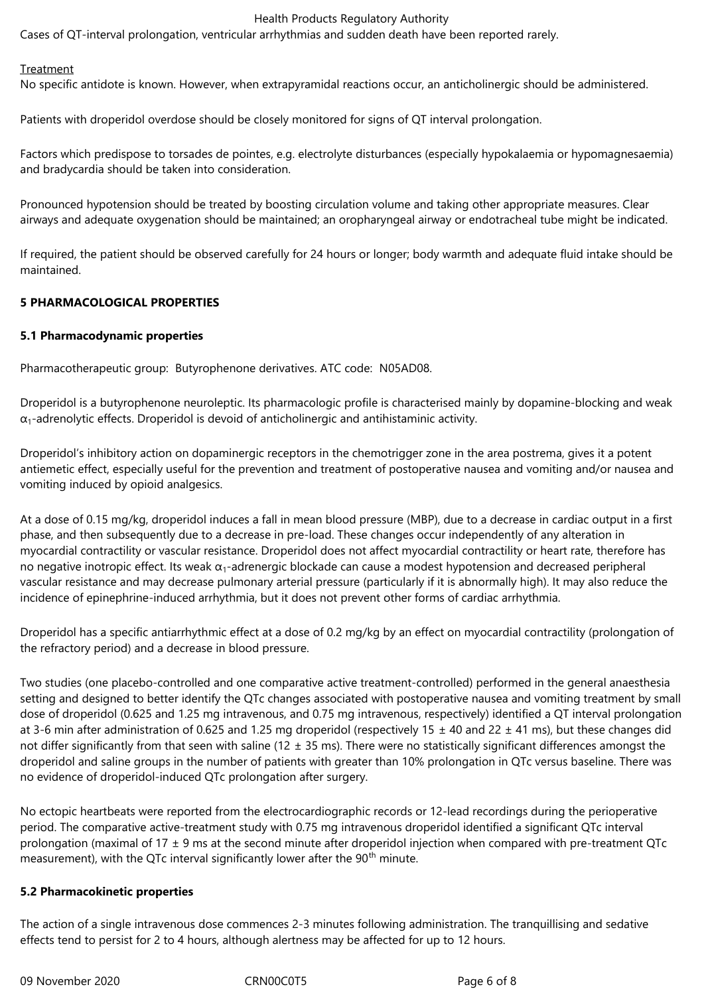Cases of QT-interval prolongation, ventricular arrhythmias and sudden death have been reported rarely.

#### **Treatment**

No specific antidote is known. However, when extrapyramidal reactions occur, an anticholinergic should be administered.

Patients with droperidol overdose should be closely monitored for signs of QT interval prolongation.

Factors which predispose to torsades de pointes, e.g. electrolyte disturbances (especially hypokalaemia or hypomagnesaemia) and bradycardia should be taken into consideration.

Pronounced hypotension should be treated by boosting circulation volume and taking other appropriate measures. Clear airways and adequate oxygenation should be maintained; an oropharyngeal airway or endotracheal tube might be indicated.

If required, the patient should be observed carefully for 24 hours or longer; body warmth and adequate fluid intake should be maintained.

### **5 PHARMACOLOGICAL PROPERTIES**

#### **5.1 Pharmacodynamic properties**

Pharmacotherapeutic group: Butyrophenone derivatives. ATC code: N05AD08.

Droperidol is a butyrophenone neuroleptic. Its pharmacologic profile is characterised mainly by dopamine-blocking and weak  $\alpha_1$ -adrenolytic effects. Droperidol is devoid of anticholinergic and antihistaminic activity.

Droperidol's inhibitory action on dopaminergic receptors in the chemotrigger zone in the area postrema, gives it a potent antiemetic effect, especially useful for the prevention and treatment of postoperative nausea and vomiting and/or nausea and vomiting induced by opioid analgesics.

At a dose of 0.15 mg/kg, droperidol induces a fall in mean blood pressure (MBP), due to a decrease in cardiac output in a first phase, and then subsequently due to a decrease in pre-load. These changes occur independently of any alteration in myocardial contractility or vascular resistance. Droperidol does not affect myocardial contractility or heart rate, therefore has no negative inotropic effect. Its weak  $α_1$ -adrenergic blockade can cause a modest hypotension and decreased peripheral vascular resistance and may decrease pulmonary arterial pressure (particularly if it is abnormally high). It may also reduce the incidence of epinephrine-induced arrhythmia, but it does not prevent other forms of cardiac arrhythmia.

Droperidol has a specific antiarrhythmic effect at a dose of 0.2 mg/kg by an effect on myocardial contractility (prolongation of the refractory period) and a decrease in blood pressure.

Two studies (one placebo-controlled and one comparative active treatment-controlled) performed in the general anaesthesia setting and designed to better identify the QTc changes associated with postoperative nausea and vomiting treatment by small dose of droperidol (0.625 and 1.25 mg intravenous, and 0.75 mg intravenous, respectively) identified a QT interval prolongation at 3-6 min after administration of 0.625 and 1.25 mg droperidol (respectively 15  $\pm$  40 and 22  $\pm$  41 ms), but these changes did not differ significantly from that seen with saline (12  $\pm$  35 ms). There were no statistically significant differences amongst the droperidol and saline groups in the number of patients with greater than 10% prolongation in QTc versus baseline. There was no evidence of droperidol-induced QTc prolongation after surgery.

No ectopic heartbeats were reported from the electrocardiographic records or 12-lead recordings during the perioperative period. The comparative active-treatment study with 0.75 mg intravenous droperidol identified a significant QTc interval prolongation (maximal of 17  $\pm$  9 ms at the second minute after droperidol injection when compared with pre-treatment QTc measurement), with the QTc interval significantly lower after the  $90<sup>th</sup>$  minute.

#### **5.2 Pharmacokinetic properties**

The action of a single intravenous dose commences 2-3 minutes following administration. The tranquillising and sedative effects tend to persist for 2 to 4 hours, although alertness may be affected for up to 12 hours.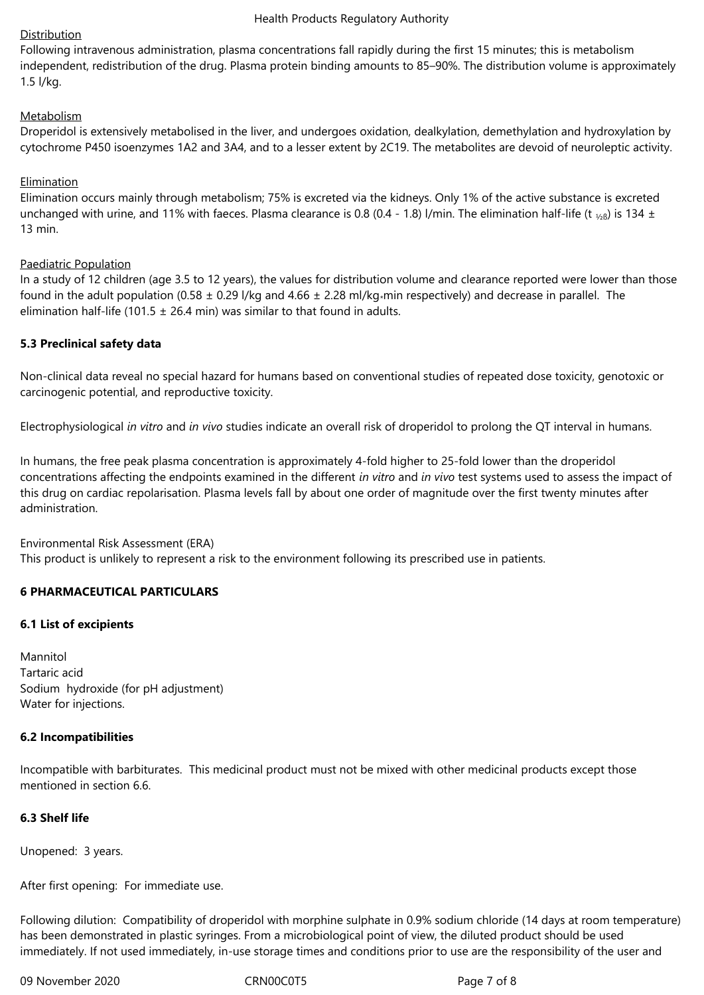## **Distribution**

Following intravenous administration, plasma concentrations fall rapidly during the first 15 minutes; this is metabolism independent, redistribution of the drug. Plasma protein binding amounts to 85–90%. The distribution volume is approximately 1.5 l/kg.

# Metabolism

Droperidol is extensively metabolised in the liver, and undergoes oxidation, dealkylation, demethylation and hydroxylation by cytochrome P450 isoenzymes 1A2 and 3A4, and to a lesser extent by 2C19. The metabolites are devoid of neuroleptic activity.

### Elimination

Elimination occurs mainly through metabolism; 75% is excreted via the kidneys. Only 1% of the active substance is excreted unchanged with urine, and 11% with faeces. Plasma clearance is 0.8 (0.4 - 1.8) l/min. The elimination half-life (t  $_{\frac{1}{26}}$ ) is 134 ± 13 min.

#### Paediatric Population

In a study of 12 children (age 3.5 to 12 years), the values for distribution volume and clearance reported were lower than those found in the adult population (0.58  $\pm$  0.29 l/kg and 4.66  $\pm$  2.28 ml/kg\*min respectively) and decrease in parallel. The elimination half-life (101.5  $\pm$  26.4 min) was similar to that found in adults.

## **5.3 Preclinical safety data**

Non-clinical data reveal no special hazard for humans based on conventional studies of repeated dose toxicity, genotoxic or carcinogenic potential, and reproductive toxicity.

Electrophysiological *in vitro* and *in vivo* studies indicate an overall risk of droperidol to prolong the QT interval in humans.

In humans, the free peak plasma concentration is approximately 4-fold higher to 25-fold lower than the droperidol concentrations affecting the endpoints examined in the different *in vitro* and *in vivo* test systems used to assess the impact of this drug on cardiac repolarisation. Plasma levels fall by about one order of magnitude over the first twenty minutes after administration.

#### Environmental Risk Assessment (ERA)

This product is unlikely to represent a risk to the environment following its prescribed use in patients.

# **6 PHARMACEUTICAL PARTICULARS**

#### **6.1 List of excipients**

Mannitol Tartaric acid Sodium hydroxide (for pH adjustment) Water for injections.

# **6.2 Incompatibilities**

Incompatible with barbiturates. This medicinal product must not be mixed with other medicinal products except those mentioned in section 6.6.

# **6.3 Shelf life**

Unopened: 3 years.

After first opening: For immediate use.

Following dilution: Compatibility of droperidol with morphine sulphate in 0.9% sodium chloride (14 days at room temperature) has been demonstrated in plastic syringes. From a microbiological point of view, the diluted product should be used immediately. If not used immediately, in-use storage times and conditions prior to use are the responsibility of the user and

09 November 2020 CRN00C0T5 Page 7 of 8